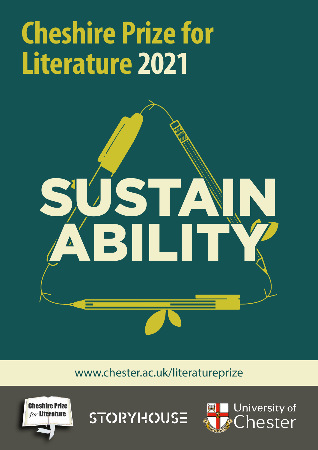## **Cheshire Prize for Literature 2021**



[www.chester.ac.uk/literatureprize](http://www.chester.ac.uk/literatureprize)